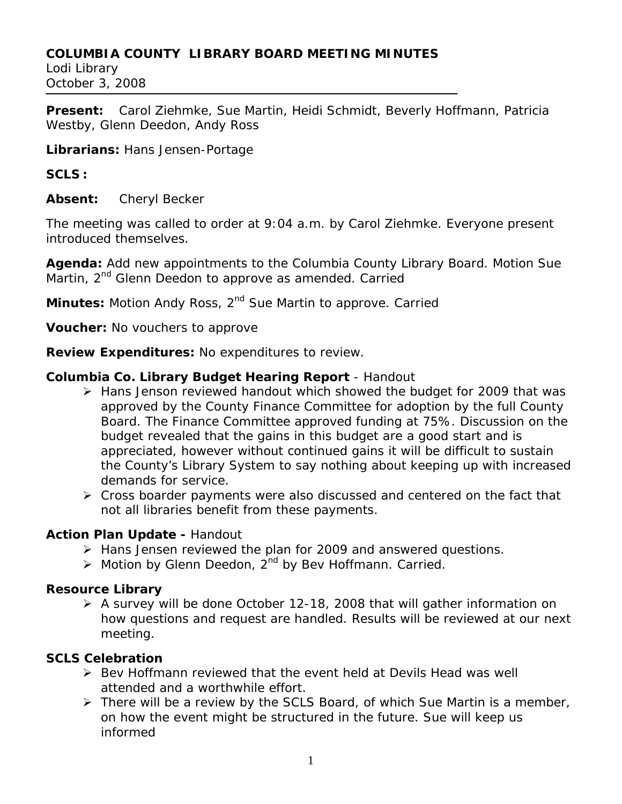### **COLUMBIA COUNTY LIBRARY BOARD MEETING MINUTES**

Lodi Library October 3, 2008

**Present:** Carol Ziehmke, Sue Martin, Heidi Schmidt, Beverly Hoffmann, Patricia Westby, Glenn Deedon, Andy Ross

**Librarians:** Hans Jensen-Portage

### **SCLS :**

**Absent:** Cheryl Becker

The meeting was called to order at 9:04 a.m. by Carol Ziehmke. Everyone present introduced themselves.

**Agenda:** Add new appointments to the Columbia County Library Board. Motion Sue Martin, 2<sup>nd</sup> Glenn Deedon to approve as amended. Carried

**Minutes:** Motion Andy Ross, 2<sup>nd</sup> Sue Martin to approve. Carried

**Voucher:** No vouchers to approve

**Review Expenditures:** No expenditures to review.

# **Columbia Co. Library Budget Hearing Report** - Handout

- ¾ Hans Jenson reviewed handout which showed the budget for 2009 that was approved by the County Finance Committee for adoption by the full County Board. The Finance Committee approved funding at 75%. Discussion on the budget revealed that the gains in this budget are a good start and is appreciated, however without continued gains it will be difficult to sustain the County's Library System to say nothing about keeping up with increased demands for service.
- ¾ Cross boarder payments were also discussed and centered on the fact that not all libraries benefit from these payments.

# **Action Plan Update -** Handout

- ¾ Hans Jensen reviewed the plan for 2009 and answered questions.
- $\triangleright$  Motion by Glenn Deedon, 2<sup>nd</sup> by Bev Hoffmann. Carried.

# **Resource Library**

¾ A survey will be done October 12-18, 2008 that will gather information on how questions and request are handled. Results will be reviewed at our next meeting.

# **SCLS Celebration**

- ¾ Bev Hoffmann reviewed that the event held at Devils Head was well attended and a worthwhile effort.
- $\triangleright$  There will be a review by the SCLS Board, of which Sue Martin is a member, on how the event might be structured in the future. Sue will keep us informed